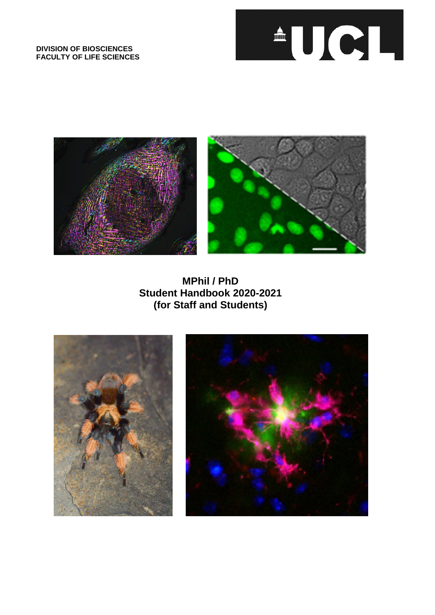#### **DIVISION OF BIOSCIENCES FACULTY OF LIFE SCIENCES**





**MPhil / PhD Student Handbook 2020-2021 (for Staff and Students)** 



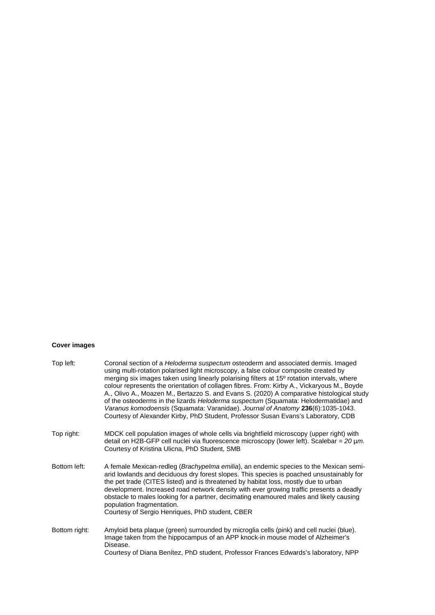### **Cover images**

| Top left:     | Coronal section of a <i>Heloderma suspectum</i> osteoderm and associated dermis. Imaged<br>using multi-rotation polarised light microscopy, a false colour composite created by<br>merging six images taken using linearly polarising filters at 15° rotation intervals, where<br>colour represents the orientation of collagen fibres. From: Kirby A., Vickaryous M., Boyde<br>A., Olivo A., Moazen M., Bertazzo S. and Evans S. (2020) A comparative histological study<br>of the osteoderms in the lizards Heloderma suspectum (Squamata: Helodermatidae) and<br>Varanus komodoensis (Squamata: Varanidae). Journal of Anatomy 236(6):1035-1043.<br>Courtesy of Alexander Kirby, PhD Student, Professor Susan Evans's Laboratory, CDB |
|---------------|------------------------------------------------------------------------------------------------------------------------------------------------------------------------------------------------------------------------------------------------------------------------------------------------------------------------------------------------------------------------------------------------------------------------------------------------------------------------------------------------------------------------------------------------------------------------------------------------------------------------------------------------------------------------------------------------------------------------------------------|
| Top right:    | MDCK cell population images of whole cells via brightfield microscopy (upper right) with<br>detail on H2B-GFP cell nuclei via fluorescence microscopy (lower left). Scalebar = $20 \mu m$ .<br>Courtesy of Kristina Ulicna, PhD Student, SMB                                                                                                                                                                                                                                                                                                                                                                                                                                                                                             |
| Bottom left:  | A female Mexican-redleg (Brachypelma emilia), an endemic species to the Mexican semi-<br>arid lowlands and deciduous dry forest slopes. This species is poached unsustainably for<br>the pet trade (CITES listed) and is threatened by habitat loss, mostly due to urban<br>development. Increased road network density with ever growing traffic presents a deadly<br>obstacle to males looking for a partner, decimating enamoured males and likely causing<br>population fragmentation.<br>Courtesy of Sergio Henriques, PhD student, CBER                                                                                                                                                                                            |
| Bottom right: | Amyloid beta plaque (green) surrounded by microglia cells (pink) and cell nuclei (blue).<br>Image taken from the hippocampus of an APP knock-in mouse model of Alzheimer's<br>Disease.<br>Courtesy of Diana Benítez, PhD student, Professor Frances Edwards's laboratory, NPP                                                                                                                                                                                                                                                                                                                                                                                                                                                            |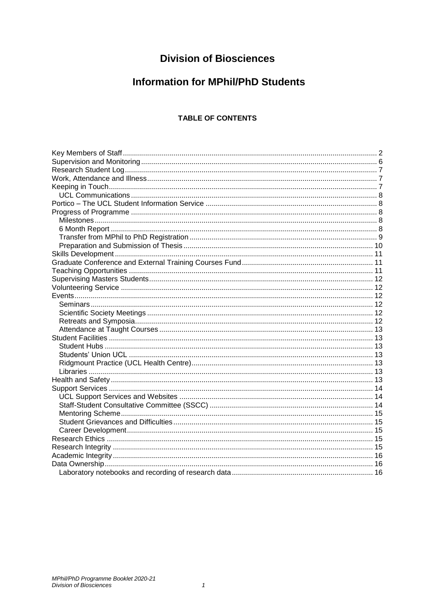# **Division of Biosciences**

# **Information for MPhil/PhD Students**

### **TABLE OF CONTENTS**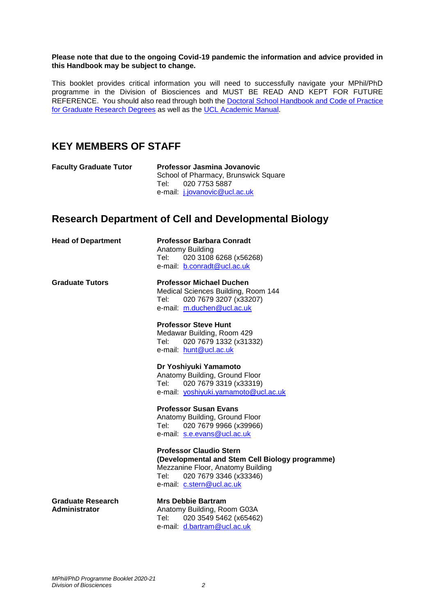#### **Please note that due to the ongoing Covid-19 pandemic the information and advice provided in this Handbook may be subject to change.**

This booklet provides critical information you will need to successfully navigate your MPhil/PhD programme in the Division of Biosciences and MUST BE READ AND KEPT FOR FUTURE REFERENCE. You should also read through both the **Doctoral [School Handbook](http://www.grad.ucl.ac.uk/essinfo) and Code of Practice** [for Graduate Research](http://www.grad.ucl.ac.uk/essinfo) Degrees as well as the [UCL Academic Manual.](https://www.ucl.ac.uk/academic-manual/)

### <span id="page-3-0"></span>**KEY MEMBERS OF STAFF**

| <b>Faculty Graduate Tutor</b> | <b>Professor Jasmina Jovanovic</b>   |
|-------------------------------|--------------------------------------|
|                               | School of Pharmacy, Brunswick Square |
|                               | Tel: 020 7753 5887                   |
|                               | e-mail: <i>j.jovanovic@ucl.ac.uk</i> |

### **Research Department of Cell and Developmental Biology**

| <b>Head of Department</b>                 | <b>Professor Barbara Conradt</b><br>Anatomy Building<br>020 3108 6268 (x56268)<br>Tel: T<br>e-mail: b.conradt@ucl.ac.uk                                                                                                                                           |
|-------------------------------------------|-------------------------------------------------------------------------------------------------------------------------------------------------------------------------------------------------------------------------------------------------------------------|
| <b>Graduate Tutors</b>                    | <b>Professor Michael Duchen</b><br>Medical Sciences Building, Room 144<br>020 7679 3207 (x33207)<br>Tel:<br>e-mail: m.duchen@ucl.ac.uk<br><b>Professor Steve Hunt</b><br>Medawar Building, Room 429<br>020 7679 1332 (x31332)<br>Tel: T<br>e-mail: hunt@ucl.ac.uk |
|                                           | Dr Yoshiyuki Yamamoto<br>Anatomy Building, Ground Floor<br>020 7679 3319 (x33319)<br>Tel:<br>e-mail: yoshiyuki.yamamoto@ucl.ac.uk                                                                                                                                 |
|                                           | <b>Professor Susan Evans</b><br>Anatomy Building, Ground Floor<br>020 7679 9966 (x39966)<br>Tel: I<br>e-mail: s.e.evans@ucl.ac.uk                                                                                                                                 |
|                                           | <b>Professor Claudio Stern</b><br>(Developmental and Stem Cell Biology programme)<br>Mezzanine Floor, Anatomy Building<br>020 7679 3346 (x33346)<br>Tel:<br>e-mail: c.stern@ucl.ac.uk                                                                             |
| <b>Graduate Research</b><br>Administrator | <b>Mrs Debbie Bartram</b><br>Anatomy Building, Room G03A<br>020 3549 5462 (x65462)<br>Tel:<br>e-mail: d.bartram@ucl.ac.uk                                                                                                                                         |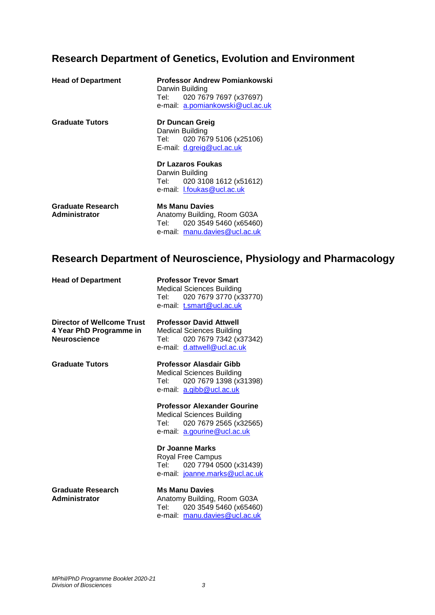# **Research Department of Genetics, Evolution and Environment**

| <b>Head of Department</b>          | <b>Professor Andrew Pomiankowski</b><br>Darwin Building<br>020 7679 7697 (x37697)<br>Tel: Tel<br>e-mail: a.pomiankowski@ucl.ac.uk |
|------------------------------------|-----------------------------------------------------------------------------------------------------------------------------------|
| <b>Graduate Tutors</b>             | Dr Duncan Greig<br>Darwin Building<br>Tel: 020 7679 5106 (x25106)<br>E-mail: d.greig@ucl.ac.uk                                    |
|                                    | Dr Lazaros Foukas<br>Darwin Building<br>Tel: 020 3108 1612 (x51612)<br>e-mail: I.foukas@ucl.ac.uk                                 |
| Graduate Research<br>Administrator | <b>Ms Manu Davies</b><br>Anatomy Building, Room G03A<br>020 3549 5460 (x65460)<br>Tel: T<br>e-mail: manu.davies@ucl.ac.uk         |

# **Research Department of Neuroscience, Physiology and Pharmacology**

| <b>Head of Department</b>                                                    | <b>Professor Trevor Smart</b><br>Medical Sciences Building<br>020 7679 3770 (x33770)<br>Tel: I<br>e-mail: t.smart@ucl.ac.uk         |
|------------------------------------------------------------------------------|-------------------------------------------------------------------------------------------------------------------------------------|
| Director of Wellcome Trust<br>4 Year PhD Programme in<br><b>Neuroscience</b> | <b>Professor David Attwell</b><br><b>Medical Sciences Building</b><br>020 7679 7342 (x37342)<br>Tel:<br>e-mail: d.attwell@ucl.ac.uk |
| <b>Graduate Tutors</b>                                                       | <b>Professor Alasdair Gibb</b><br><b>Medical Sciences Building</b><br>020 7679 1398 (x31398)<br>Tel: T<br>e-mail: a.gibb@ucl.ac.uk  |
|                                                                              | <b>Professor Alexander Gourine</b><br>Medical Sciences Building<br>020 7679 2565 (x32565)<br>Tel: l<br>e-mail: a.gourine@ucl.ac.uk  |
|                                                                              | Dr Joanne Marks<br>Royal Free Campus<br>020 7794 0500 (x31439)<br>Tel: .<br>e-mail: joanne.marks@ucl.ac.uk                          |
| <b>Graduate Research</b><br>Administrator                                    | <b>Ms Manu Davies</b><br>Anatomy Building, Room G03A<br>Tel: 020 3549 5460 (x65460)<br>e-mail: manu.davies@ucl.ac.uk                |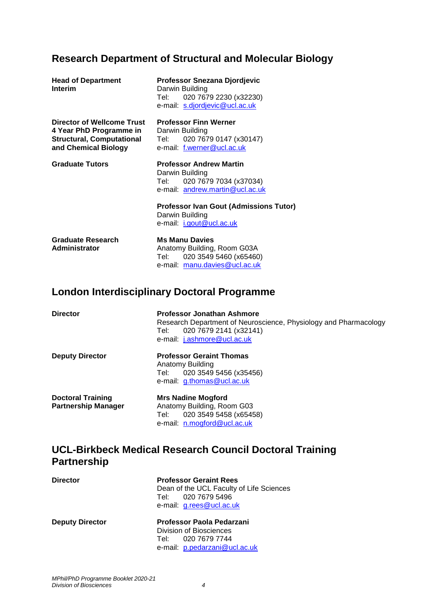# **Research Department of Structural and Molecular Biology**

| <b>Head of Department</b><br><b>Interim</b>                                                                       | Professor Snezana Djordjevic<br>Darwin Building<br>020 7679 2230 (x32230)<br>Tel: T<br>e-mail: s.djordjevic@ucl.ac.uk |
|-------------------------------------------------------------------------------------------------------------------|-----------------------------------------------------------------------------------------------------------------------|
| Director of Wellcome Trust<br>4 Year PhD Programme in<br><b>Structural, Computational</b><br>and Chemical Biology | <b>Professor Finn Werner</b><br>Darwin Building<br>020 7679 0147 (x30147)<br>Tel: T<br>e-mail: f.werner@ucl.ac.uk     |
| <b>Graduate Tutors</b>                                                                                            | <b>Professor Andrew Martin</b><br>Darwin Building<br>Tel: 020 7679 7034 (x37034)<br>e-mail: andrew.martin@ucl.ac.uk   |
|                                                                                                                   | <b>Professor Ivan Gout (Admissions Tutor)</b><br>Darwin Building<br>e-mail: i.gout@ucl.ac.uk                          |
| <b>Graduate Research</b><br>Administrator                                                                         | <b>Ms Manu Davies</b><br>Anatomy Building, Room G03A<br>020 3549 5460 (x65460)<br>Tel: T                              |

# **London Interdisciplinary Doctoral Programme**

| <b>Director</b>                                        | Professor Jonathan Ashmore<br>Research Department of Neuroscience, Physiology and Pharmacology<br>020 7679 2141 (x32141)<br>Tel:<br>e-mail: j.ashmore@ucl.ac.uk |
|--------------------------------------------------------|-----------------------------------------------------------------------------------------------------------------------------------------------------------------|
| <b>Deputy Director</b>                                 | <b>Professor Geraint Thomas</b><br>Anatomy Building<br>Tel: 020 3549 5456 (x35456)<br>e-mail: g.thomas@ucl.ac.uk                                                |
| <b>Doctoral Training</b><br><b>Partnership Manager</b> | <b>Mrs Nadine Mogford</b><br>Anatomy Building, Room G03<br>020 3549 5458 (x65458)<br>Tel: l<br>e-mail: n.mogford@ucl.ac.uk                                      |

e-mail: [manu.davies@ucl.ac.uk](mailto:manu.davies@ucl.ac.uk)

# **UCL-Birkbeck Medical Research Council Doctoral Training Partnership**

| <b>Director</b>        | <b>Professor Geraint Rees</b><br>Dean of the UCL Faculty of Life Sciences<br>Tel: 020 7679 5496<br>e-mail: g.rees@ucl.ac.uk |
|------------------------|-----------------------------------------------------------------------------------------------------------------------------|
| <b>Deputy Director</b> | Professor Paola Pedarzani<br>Division of Biosciences<br>Tel: 020 7679 7744                                                  |
|                        | e-mail: p.pedarzani@ucl.ac.uk                                                                                               |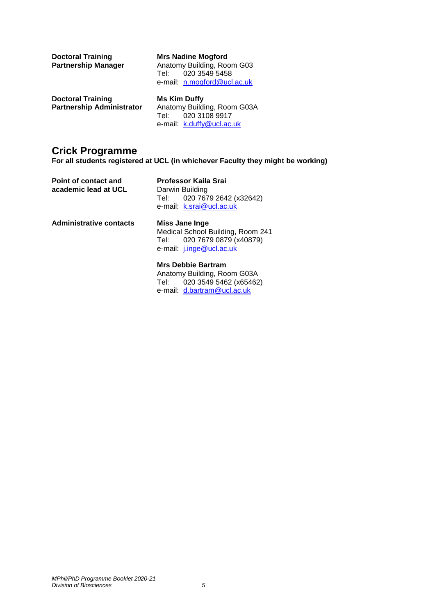**Doctoral Training Mrs Nadine Mogford<br>
Partnership Manager** Anatomy Building, Roo

Anatomy Building, Room G03<br>Tel: 020 3549 5458  $020$  3549 5458 e-mail: [n.mogford@ucl.ac.uk](mailto:n.mogford@ucl.ac.uk)

| <b>Doctoral Training</b>         | <b>Ms Kim Duffy</b>         |  |
|----------------------------------|-----------------------------|--|
| <b>Partnership Administrator</b> | Anatomy Building, Room G03A |  |
|                                  | 020 3108 9917<br>Tel:       |  |
|                                  | e-mail: k.duffy@ucl.ac.uk   |  |

### **Crick Programme**

**For all students registered at UCL (in whichever Faculty they might be working)**

| Point of contact and<br>academic lead at UCL | Professor Kaila Srai<br>Darwin Building<br>Tel: 020 7679 2642 (x32642)<br>e-mail: k.srai@ucl.ac.uk                    |
|----------------------------------------------|-----------------------------------------------------------------------------------------------------------------------|
| <b>Administrative contacts</b>               | Miss Jane Inge<br>Medical School Building, Room 241<br>Tel: 020 7679 0879 (x40879)<br>e-mail: <i>j.inge@ucl.ac.uk</i> |

#### **Mrs Debbie Bartram**

Anatomy Building, Room G03A 020 3549 5462 (x65462) e-mail: [d.bartram@ucl.ac.uk](mailto:d.bartram@ucl.ac.uk)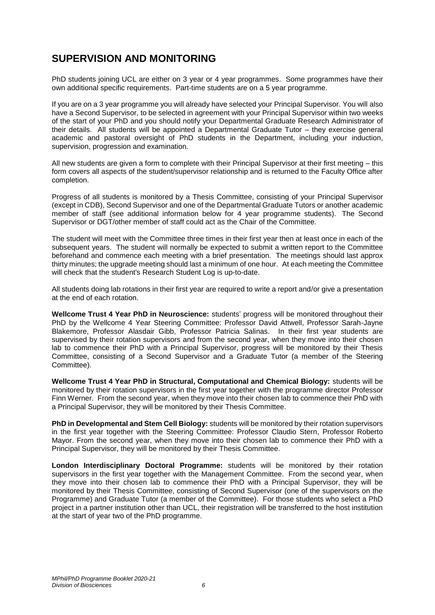# <span id="page-7-0"></span>**SUPERVISION AND MONITORING**

PhD students joining UCL are either on 3 year or 4 year programmes. Some programmes have their own additional specific requirements. Part-time students are on a 5 year programme.

If you are on a 3 year programme you will already have selected your Principal Supervisor. You will also have a Second Supervisor, to be selected in agreement with your Principal Supervisor within two weeks of the start of your PhD and you should notify your Departmental Graduate Research Administrator of their details. All students will be appointed a Departmental Graduate Tutor – they exercise general academic and pastoral oversight of PhD students in the Department, including your induction, supervision, progression and examination.

All new students are given a form to complete with their Principal Supervisor at their first meeting – this form covers all aspects of the student/supervisor relationship and is returned to the Faculty Office after completion.

Progress of all students is monitored by a Thesis Committee, consisting of your Principal Supervisor (except in CDB), Second Supervisor and one of the Departmental Graduate Tutors or another academic member of staff (see additional information below for 4 year programme students). The Second Supervisor or DGT/other member of staff could act as the Chair of the Committee.

The student will meet with the Committee three times in their first year then at least once in each of the subsequent years. The student will normally be expected to submit a written report to the Committee beforehand and commence each meeting with a brief presentation. The meetings should last approx thirty minutes; the upgrade meeting should last a minimum of one hour. At each meeting the Committee will check that the student's Research Student Log is up-to-date.

All students doing lab rotations in their first year are required to write a report and/or give a presentation at the end of each rotation.

**Wellcome Trust 4 Year PhD in Neuroscience:** students' progress will be monitored throughout their PhD by the Wellcome 4 Year Steering Committee: Professor David Attwell, Professor Sarah-Jayne Blakemore, Professor Alasdair Gibb, Professor Patricia Salinas. In their first year students are supervised by their rotation supervisors and from the second year, when they move into their chosen lab to commence their PhD with a Principal Supervisor, progress will be monitored by their Thesis Committee, consisting of a Second Supervisor and a Graduate Tutor (a member of the Steering Committee).

**Wellcome Trust 4 Year PhD in Structural, Computational and Chemical Biology:** students will be monitored by their rotation supervisors in the first year together with the programme director Professor Finn Werner. From the second year, when they move into their chosen lab to commence their PhD with a Principal Supervisor, they will be monitored by their Thesis Committee.

**PhD in Developmental and Stem Cell Biology:** students will be monitored by their rotation supervisors in the first year together with the Steering Committee: Professor Claudio Stern, Professor Roberto Mayor. From the second year, when they move into their chosen lab to commence their PhD with a Principal Supervisor, they will be monitored by their Thesis Committee.

**London Interdisciplinary Doctoral Programme:** students will be monitored by their rotation supervisors in the first year together with the Management Committee. From the second year, when they move into their chosen lab to commence their PhD with a Principal Supervisor, they will be monitored by their Thesis Committee, consisting of Second Supervisor (one of the supervisors on the Programme) and Graduate Tutor (a member of the Committee). For those students who select a PhD project in a partner institution other than UCL, their registration will be transferred to the host institution at the start of year two of the PhD programme.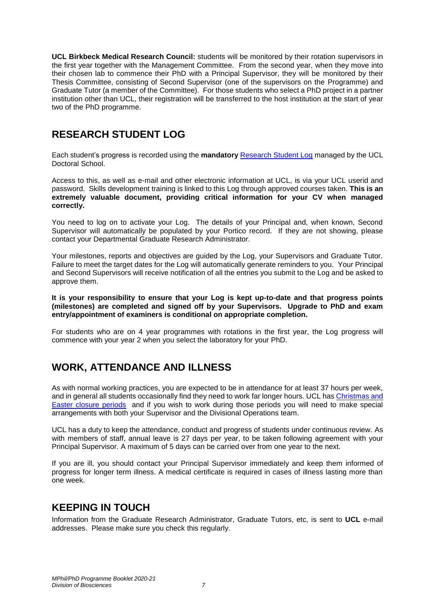**UCL Birkbeck Medical Research Council:** students will be monitored by their rotation supervisors in the first year together with the Management Committee. From the second year, when they move into their chosen lab to commence their PhD with a Principal Supervisor, they will be monitored by their Thesis Committee, consisting of Second Supervisor (one of the supervisors on the Programme) and Graduate Tutor (a member of the Committee). For those students who select a PhD project in a partner institution other than UCL, their registration will be transferred to the host institution at the start of year two of the PhD programme.

# <span id="page-8-0"></span>**RESEARCH STUDENT LOG**

Each student's progress is recorded using the **mandatory** Research [Student Log](https://www.grad.ucl.ac.uk/) managed by the UCL Doctoral School.

Access to this, as well as e-mail and other electronic information at UCL, is via your UCL userid and password. Skills development training is linked to this Log through approved courses taken. **This is an extremely valuable document, providing critical information for your CV when managed correctly.**

You need to log on to activate your Log. The details of your Principal and, when known, Second Supervisor will automatically be populated by your Portico record. If they are not showing, please contact your Departmental Graduate Research Administrator.

Your milestones, reports and objectives are guided by the Log, your Supervisors and Graduate Tutor. Failure to meet the target dates for the Log will automatically generate reminders to you. Your Principal and Second Supervisors will receive notification of all the entries you submit to the Log and be asked to approve them.

**It is your responsibility to ensure that your Log is kept up-to-date and that progress points (milestones) are completed and signed off by your Supervisors. Upgrade to PhD and exam entry/appointment of examiners is conditional on appropriate completion.**

For students who are on 4 year programmes with rotations in the first year, the Log progress will commence with your year 2 when you select the laboratory for your PhD.

# <span id="page-8-1"></span>**WORK, ATTENDANCE AND ILLNESS**

As with normal working practices, you are expected to be in attendance for at least 37 hours per week, and in general all students occasionally find they need to work far longer hours. UCL has [Christmas and](https://www.ucl.ac.uk/students/life-ucl/term-dates-and-closures-2020-21)  [Easter closure periods](https://www.ucl.ac.uk/students/life-ucl/term-dates-and-closures-2020-21) and if you wish to work during those periods you will need to make special arrangements with both your Supervisor and the Divisional Operations team.

UCL has a duty to keep the attendance, conduct and progress of students under continuous review. As with members of staff, annual leave is 27 days per year, to be taken following agreement with your Principal Supervisor. A maximum of 5 days can be carried over from one year to the next.

If you are ill, you should contact your Principal Supervisor immediately and keep them informed of progress for longer term illness. A medical certificate is required in cases of illness lasting more than one week.

### <span id="page-8-2"></span>**KEEPING IN TOUCH**

Information from the Graduate Research Administrator, Graduate Tutors, etc, is sent to **UCL** e-mail addresses. Please make sure you check this regularly.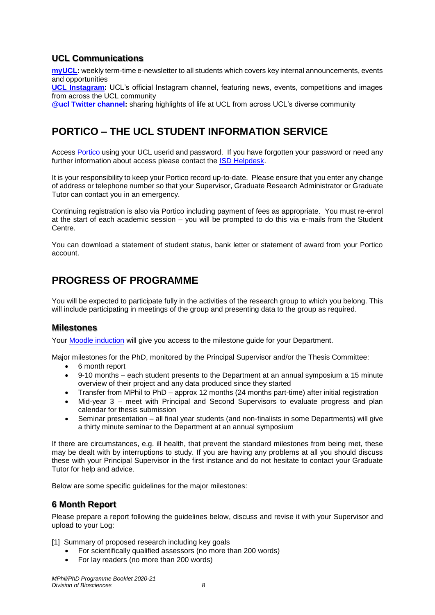### <span id="page-9-0"></span>**UCL Communications**

**[myUCL:](https://www.ucl.ac.uk/news/student-news/what-myucl)** weekly term-time e-newsletter to all students which covers key internal announcements, events and opportunities

**[UCL Instagram:](https://www.instagram.com/ucl/)** UCL's official Instagram channel, featuring news, events, competitions and images from across the UCL community

**[@ucl Twitter channel:](https://twitter.com/ucl)** sharing highlights of life at UCL from across UCL's diverse community

# <span id="page-9-1"></span>**PORTICO – THE UCL STUDENT INFORMATION SERVICE**

Access [Portico](https://evision.ucl.ac.uk/urd/sits.urd/run/siw_lgn) using your UCL userid and password. If you have forgotten your password or need any further information about access please contact the [ISD Helpdesk.](https://www.ucl.ac.uk/isd/)

It is your responsibility to keep your Portico record up-to-date. Please ensure that you enter any change of address or telephone number so that your Supervisor, Graduate Research Administrator or Graduate Tutor can contact you in an emergency.

Continuing registration is also via Portico including payment of fees as appropriate. You must re-enrol at the start of each academic session – you will be prompted to do this via e-mails from the Student Centre.

You can download a statement of student status, bank letter or statement of award from your Portico account.

# <span id="page-9-2"></span>**PROGRESS OF PROGRAMME**

You will be expected to participate fully in the activities of the research group to which you belong. This will include participating in meetings of the group and presenting data to the group as required.

### <span id="page-9-3"></span>**Milestones**

Your [Moodle induction](https://moodle.ucl.ac.uk/course/view.php?id=13871) will give you access to the milestone guide for your Department.

Major milestones for the PhD, monitored by the Principal Supervisor and/or the Thesis Committee:

- 6 month report
- 9-10 months each student presents to the Department at an annual symposium a 15 minute overview of their project and any data produced since they started
- Transfer from MPhil to PhD approx 12 months (24 months part-time) after initial registration
- Mid-year 3 meet with Principal and Second Supervisors to evaluate progress and plan calendar for thesis submission
- Seminar presentation all final year students (and non-finalists in some Departments) will give a thirty minute seminar to the Department at an annual symposium

If there are circumstances, e.g. ill health, that prevent the standard milestones from being met, these may be dealt with by interruptions to study. If you are having any problems at all you should discuss these with your Principal Supervisor in the first instance and do not hesitate to contact your Graduate Tutor for help and advice.

<span id="page-9-4"></span>Below are some specific guidelines for the major milestones:

### **6 Month Report**

Please prepare a report following the guidelines below, discuss and revise it with your Supervisor and upload to your Log:

[1] Summary of proposed research including key goals

- For scientifically qualified assessors (no more than 200 words)
- For lay readers (no more than 200 words)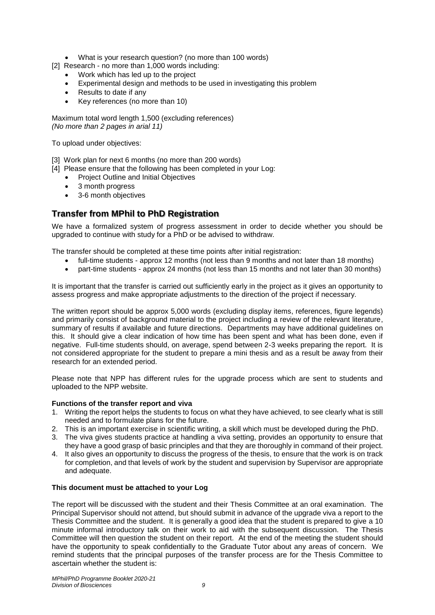- What is your research question? (no more than 100 words)
- [2] Research no more than 1,000 words including:
	- Work which has led up to the project
	- Experimental design and methods to be used in investigating this problem
	- Results to date if any
	- Key references (no more than 10)

Maximum total word length 1,500 (excluding references) *(No more than 2 pages in arial 11)*

To upload under objectives:

- [3] Work plan for next 6 months (no more than 200 words)
- [4] Please ensure that the following has been completed in your Log:
	- Project Outline and Initial Objectives
	- 3 month progress
	- 3-6 month objectives

### <span id="page-10-0"></span>**Transfer from MPhil to PhD Registration**

We have a formalized system of progress assessment in order to decide whether you should be upgraded to continue with study for a PhD or be advised to withdraw.

The transfer should be completed at these time points after initial registration:

- full-time students approx 12 months (not less than 9 months and not later than 18 months)
- part-time students approx 24 months (not less than 15 months and not later than 30 months)

It is important that the transfer is carried out sufficiently early in the project as it gives an opportunity to assess progress and make appropriate adjustments to the direction of the project if necessary.

The written report should be approx 5,000 words (excluding display items, references, figure legends) and primarily consist of background material to the project including a review of the relevant literature, summary of results if available and future directions. Departments may have additional guidelines on this. It should give a clear indication of how time has been spent and what has been done, even if negative. Full-time students should, on average, spend between 2-3 weeks preparing the report. It is not considered appropriate for the student to prepare a mini thesis and as a result be away from their research for an extended period.

Please note that NPP has different rules for the upgrade process which are sent to students and uploaded to the NPP website.

#### **Functions of the transfer report and viva**

- 1. Writing the report helps the students to focus on what they have achieved, to see clearly what is still needed and to formulate plans for the future.
- 2. This is an important exercise in scientific writing, a skill which must be developed during the PhD.
- 3. The viva gives students practice at handling a viva setting, provides an opportunity to ensure that they have a good grasp of basic principles and that they are thoroughly in command of their project.
- 4. It also gives an opportunity to discuss the progress of the thesis, to ensure that the work is on track for completion, and that levels of work by the student and supervision by Supervisor are appropriate and adequate.

#### **This document must be attached to your Log**

The report will be discussed with the student and their Thesis Committee at an oral examination. The Principal Supervisor should not attend, but should submit in advance of the upgrade viva a report to the Thesis Committee and the student. It is generally a good idea that the student is prepared to give a 10 minute informal introductory talk on their work to aid with the subsequent discussion. The Thesis Committee will then question the student on their report. At the end of the meeting the student should have the opportunity to speak confidentially to the Graduate Tutor about any areas of concern. We remind students that the principal purposes of the transfer process are for the Thesis Committee to ascertain whether the student is: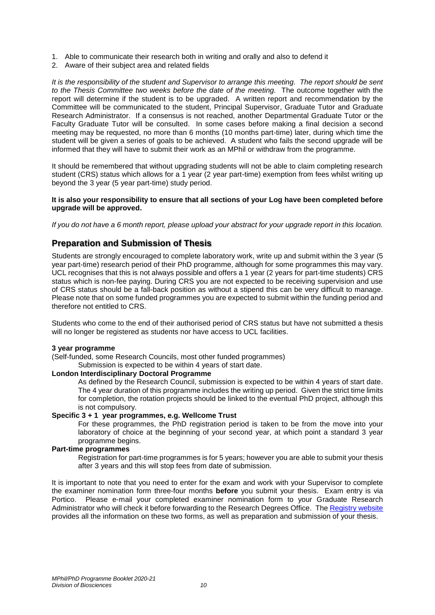- 1. Able to communicate their research both in writing and orally and also to defend it
- 2. Aware of their subject area and related fields

*It is the responsibility of the student and Supervisor to arrange this meeting. The report should be sent to the Thesis Committee two weeks before the date of the meeting.* The outcome together with the report will determine if the student is to be upgraded. A written report and recommendation by the Committee will be communicated to the student, Principal Supervisor, Graduate Tutor and Graduate Research Administrator. If a consensus is not reached, another Departmental Graduate Tutor or the Faculty Graduate Tutor will be consulted. In some cases before making a final decision a second meeting may be requested, no more than 6 months (10 months part-time) later, during which time the student will be given a series of goals to be achieved. A student who fails the second upgrade will be informed that they will have to submit their work as an MPhil or withdraw from the programme.

It should be remembered that without upgrading students will not be able to claim completing research student (CRS) status which allows for a 1 year (2 year part-time) exemption from fees whilst writing up beyond the 3 year (5 year part-time) study period.

#### **It is also your responsibility to ensure that all sections of your Log have been completed before upgrade will be approved.**

<span id="page-11-0"></span>*If you do not have a 6 month report, please upload your abstract for your upgrade report in this location.*

### **Preparation and Submission of Thesis**

Students are strongly encouraged to complete laboratory work, write up and submit within the 3 year (5 year part-time) research period of their PhD programme, although for some programmes this may vary. UCL recognises that this is not always possible and offers a 1 year (2 years for part-time students) CRS status which is non-fee paying. During CRS you are not expected to be receiving supervision and use of CRS status should be a fall-back position as without a stipend this can be very difficult to manage. Please note that on some funded programmes you are expected to submit within the funding period and therefore not entitled to CRS.

Students who come to the end of their authorised period of CRS status but have not submitted a thesis will no longer be registered as students nor have access to UCL facilities.

#### **3 year programme**

(Self-funded, some Research Councils, most other funded programmes)

Submission is expected to be within 4 years of start date.

#### **London Interdisciplinary Doctoral Programme**

As defined by the Research Council, submission is expected to be within 4 years of start date. The 4 year duration of this programme includes the writing up period. Given the strict time limits for completion, the rotation projects should be linked to the eventual PhD project, although this is not compulsory.

#### **Specific 3 + 1 year programmes, e.g. Wellcome Trust**

For these programmes, the PhD registration period is taken to be from the move into your laboratory of choice at the beginning of your second year, at which point a standard 3 year programme begins.

#### **Part-time programmes**

Registration for part-time programmes is for 5 years; however you are able to submit your thesis after 3 years and this will stop fees from date of submission.

It is important to note that you need to enter for the exam and work with your Supervisor to complete the examiner nomination form three-four months **before** you submit your thesis. Exam entry is via Portico. Please e-mail your completed examiner nomination form to your Graduate Research Administrator who will check it before forwarding to the Research Degrees Office. Th[e Registry website](https://www.ucl.ac.uk/students/exams-and-assessments/research-assessments) provides all the information on these two forms, as well as preparation and submission of your thesis.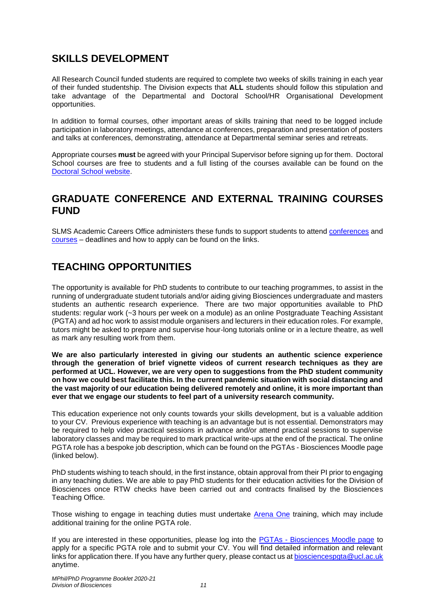# <span id="page-12-0"></span>**SKILLS DEVELOPMENT**

All Research Council funded students are required to complete two weeks of skills training in each year of their funded studentship. The Division expects that **ALL** students should follow this stipulation and take advantage of the Departmental and Doctoral School/HR Organisational Development opportunities.

In addition to formal courses, other important areas of skills training that need to be logged include participation in laboratory meetings, attendance at conferences, preparation and presentation of posters and talks at conferences, demonstrating, attendance at Departmental seminar series and retreats.

Appropriate courses **must** be agreed with your Principal Supervisor before signing up for them. Doctoral School courses are free to students and a full listing of the courses available can be found on the [Doctoral School](https://doctoral-skills.ucl.ac.uk/) website.

### <span id="page-12-1"></span>**GRADUATE CONFERENCE AND EXTERNAL TRAINING COURSES FUND**

SLMS Academic Careers Office administers these funds to support students to attend [conferences](https://www.ucl.ac.uk/school-life-medical-sciences/about-slms/office-vice-provost-health/academic-careers-office/graduate-conference-fund) and [courses](https://www.ucl.ac.uk/school-life-medical-sciences/about-slms/office-vice-provost-health/academic-careers-office/conference-training-funds/external) – deadlines and how to apply can be found on the links.

# <span id="page-12-2"></span>**TEACHING OPPORTUNITIES**

The opportunity is available for PhD students to contribute to our teaching programmes, to assist in the running of undergraduate student tutorials and/or aiding giving Biosciences undergraduate and masters students an authentic research experience. There are two major opportunities available to PhD students: regular work (~3 hours per week on a module) as an online Postgraduate Teaching Assistant (PGTA) and ad hoc work to assist module organisers and lecturers in their education roles. For example, tutors might be asked to prepare and supervise hour-long tutorials online or in a lecture theatre, as well as mark any resulting work from them.

**We are also particularly interested in giving our students an authentic science experience through the generation of brief vignette videos of current research techniques as they are performed at UCL. However, we are very open to suggestions from the PhD student community on how we could best facilitate this. In the current pandemic situation with social distancing and the vast majority of our education being delivered remotely and online, it is more important than ever that we engage our students to feel part of a university research community.**

This education experience not only counts towards your skills development, but is a valuable addition to your CV. Previous experience with teaching is an advantage but is not essential. Demonstrators may be required to help video practical sessions in advance and/or attend practical sessions to supervise laboratory classes and may be required to mark practical write-ups at the end of the practical. The online PGTA role has a bespoke job description, which can be found on the PGTAs - Biosciences Moodle page (linked below).

PhD students wishing to teach should, in the first instance, obtain approval from their PI prior to engaging in any teaching duties. We are able to pay PhD students for their education activities for the Division of Biosciences once RTW checks have been carried out and contracts finalised by the Biosciences Teaching Office.

Those wishing to engage in teaching duties must undertake [Arena One](https://www.ucl.ac.uk/teaching-learning/professional-development/ucl-arena/arena-one) training, which may include additional training for the online PGTA role.

If you are interested in these opportunities, please log into the PGTAs - [Biosciences Moodle page](https://moodle.ucl.ac.uk/course/view.php?id=10077) to apply for a specific PGTA role and to submit your CV. You will find detailed information and relevant links for application there. If you have any further query, please contact us at [biosciencespgta@ucl.ac.uk](mailto:biosciencespgta@ucl.ac.uk) anytime.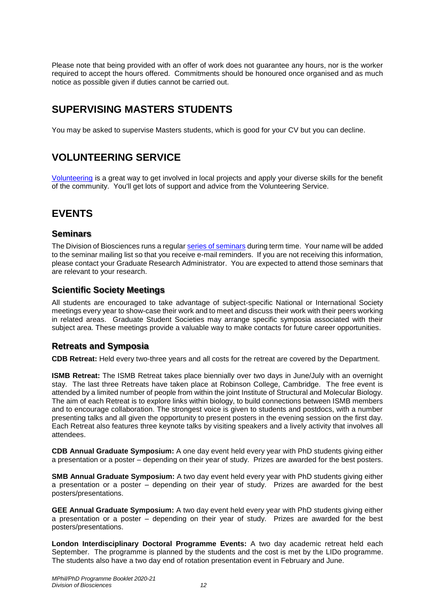Please note that being provided with an offer of work does not guarantee any hours, nor is the worker required to accept the hours offered. Commitments should be honoured once organised and as much notice as possible given if duties cannot be carried out.

# <span id="page-13-0"></span>**SUPERVISING MASTERS STUDENTS**

You may be asked to supervise Masters students, which is good for your CV but you can decline.

# <span id="page-13-1"></span>**VOLUNTEERING SERVICE**

[Volunteering](http://studentsunionucl.org/volunteering) is a great way to get involved in local projects and apply your diverse skills for the benefit of the community. You'll get lots of support and advice from the Volunteering Service.

# <span id="page-13-2"></span>**EVENTS**

### <span id="page-13-3"></span>**Seminars**

The Division of Biosciences runs a regular [series of seminars](https://www.ucl.ac.uk/biosciences/biosciences-events?collection=drupal-life-sciences-events&meta_UclOrgUnit=%22Biosciences%22&&ge_DateFilter=20190806) during term time. Your name will be added to the seminar mailing list so that you receive e-mail reminders. If you are not receiving this information, please contact your Graduate Research Administrator. You are expected to attend those seminars that are relevant to your research.

### <span id="page-13-4"></span>**Scientific Society Meetings**

All students are encouraged to take advantage of subject-specific National or International Society meetings every year to show-case their work and to meet and discuss their work with their peers working in related areas. Graduate Student Societies may arrange specific symposia associated with their subject area. These meetings provide a valuable way to make contacts for future career opportunities.

### <span id="page-13-5"></span>**Retreats and Symposia**

**CDB Retreat:** Held every two-three years and all costs for the retreat are covered by the Department.

**ISMB Retreat:** The ISMB Retreat takes place biennially over two days in June/July with an overnight stay. The last three Retreats have taken place at Robinson College, Cambridge. The free event is attended by a limited number of people from within the joint Institute of Structural and Molecular Biology. The aim of each Retreat is to explore links within biology, to build connections between ISMB members and to encourage collaboration. The strongest voice is given to students and postdocs, with a number presenting talks and all given the opportunity to present posters in the evening session on the first day. Each Retreat also features three keynote talks by visiting speakers and a lively activity that involves all attendees.

**CDB Annual Graduate Symposium:** A one day event held every year with PhD students giving either a presentation or a poster – depending on their year of study. Prizes are awarded for the best posters.

**SMB Annual Graduate Symposium:** A two day event held every year with PhD students giving either a presentation or a poster – depending on their year of study. Prizes are awarded for the best posters/presentations.

**GEE Annual Graduate Symposium:** A two day event held every year with PhD students giving either a presentation or a poster – depending on their year of study. Prizes are awarded for the best posters/presentations.

**London Interdisciplinary Doctoral Programme Events:** A two day academic retreat held each September. The programme is planned by the students and the cost is met by the LIDo programme. The students also have a two day end of rotation presentation event in February and June.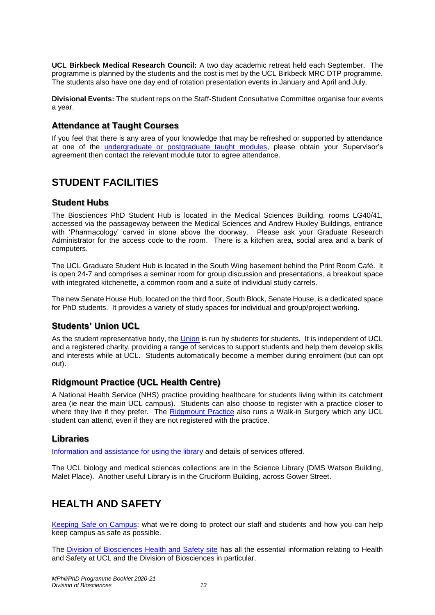**UCL Birkbeck Medical Research Council:** A two day academic retreat held each September. The programme is planned by the students and the cost is met by the UCL Birkbeck MRC DTP programme. The students also have one day end of rotation presentation events in January and April and July.

**Divisional Events:** The student reps on the Staff-Student Consultative Committee organise four events a year.

### <span id="page-14-0"></span>**Attendance at Taught Courses**

If you feel that there is any area of your knowledge that may be refreshed or supported by attendance at one of the [undergraduate or postgraduate taught modules,](https://www.ucl.ac.uk/lifesciences-faculty-php/courses/search.php) please obtain your Supervisor's agreement then contact the relevant module tutor to agree attendance.

# <span id="page-14-1"></span>**STUDENT FACILITIES**

### <span id="page-14-2"></span>**Student Hubs**

The Biosciences PhD Student Hub is located in the Medical Sciences Building, rooms LG40/41, accessed via the passageway between the Medical Sciences and Andrew Huxley Buildings, entrance with 'Pharmacology' carved in stone above the doorway. Please ask your Graduate Research Administrator for the access code to the room. There is a kitchen area, social area and a bank of computers.

The UCL Graduate Student Hub is located in the South Wing basement behind the Print Room Café. It is open 24-7 and comprises a seminar room for group discussion and presentations, a breakout space with integrated kitchenette, a common room and a suite of individual study carrels.

The new Senate House Hub, located on the third floor, South Block, Senate House, is a dedicated space for PhD students. It provides a variety of study spaces for individual and group/project working.

### <span id="page-14-3"></span>**Students' Union UCL**

As the student representative body, the [Union](http://www.studentsunionucl.org/) is run by students for students. It is independent of UCL and a registered charity, providing a range of services to support students and help them develop skills and interests while at UCL. Students automatically become a member during enrolment (but can opt out).

### <span id="page-14-4"></span>**Ridgmount Practice (UCL Health Centre)**

A National Health Service (NHS) practice providing healthcare for students living within its catchment area (ie near the main UCL campus). Students can also choose to register with a practice closer to where they live if they prefer. The [Ridgmount Practice](http://www.gowerplacepractice.nhs.uk/) also runs a Walk-in Surgery which any UCL student can attend, even if they are not registered with the practice.

### <span id="page-14-5"></span>**Libraries**

[Information and assistance for using the library](http://www.ucl.ac.uk/library/students) and details of services offered.

The UCL biology and medical sciences collections are in the Science Library (DMS Watson Building, Malet Place). Another useful Library is in the Cruciform Building, across Gower Street.

# <span id="page-14-6"></span>**HEALTH AND SAFETY**

[Keeping Safe on Campus:](https://uclnews.org.uk/UAA-70SOT-3YRJG1-46EEOZ-1/c.aspx) what we're doing to protect our staff and students and how you can help keep campus as safe as possible.

The [Division of Biosciences Health and Safety site](https://www.ucl.ac.uk/biosciences/staff-intranet/operations-and-estates/division-biosciences-health-and-safety) has all the essential information relating to Health and Safety at UCL and the Division of Biosciences in particular.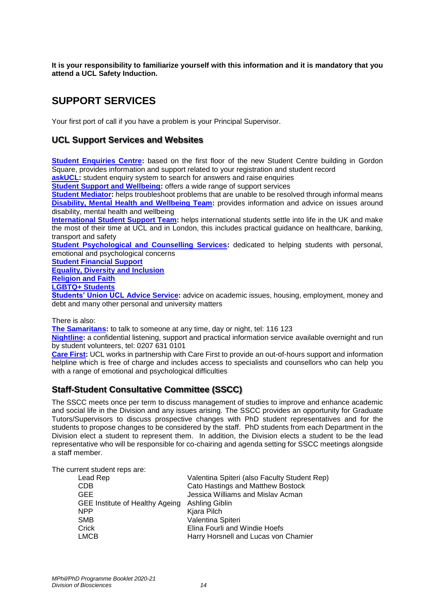**It is your responsibility to familiarize yourself with this information and it is mandatory that you attend a UCL Safety Induction.** 

# <span id="page-15-0"></span>**SUPPORT SERVICES**

Your first port of call if you have a problem is your Principal Supervisor.

### <span id="page-15-1"></span>**UCL Support Services and Websites**

**[Student Enquiries Centre:](https://www.ucl.ac.uk/students/life-ucl/student-enquiries-centre-0)** based on the first floor of the new Student Centre building in Gordon Square, provides information and support related to your registration and student record

**[askUCL:](https://www.ucl.ac.uk/students/askucl-student-enquiry-system)** student enquiry system to search for answers and raise enquiries **[Student Support and Wellbeing:](https://www.ucl.ac.uk/students/student-support-and-wellbeing)** offers a wide range of support services

**[Student Mediator:](https://www.ucl.ac.uk/student-mediator/)** helps troubleshoot problems that are unable to be resolved through informal means **[Disability, Mental Health and Wellbeing Team:](https://www.ucl.ac.uk/students/support-and-wellbeing/disability-support)** provides information and advice on issues around disability, mental health and wellbeing

**[International Student Support](https://www.ucl.ac.uk/students/international-students) Team:** helps international students settle into life in the UK and make the most of their time at UCL and in London, this includes practical guidance on healthcare, banking, transport and safety

**[Student Psychological and Counselling Services:](https://www.ucl.ac.uk/students/support-and-wellbeing/student-psychological-and-counselling-services)** dedicated to helping students with personal, emotional and psychological concerns

**[Student Financial Support](https://www.ucl.ac.uk/students/fees-and-funding)**

**[Equality, Diversity and Inclusion](https://www.ucl.ac.uk/human-resources/equality-diversity-inclusion)**

**[Religion and Faith](https://www.ucl.ac.uk/students/support-and-wellbeing/specialist-information-and-support/religion-and-faith)**

**[LGBTQ+ Students](https://www.ucl.ac.uk/students/support-and-wellbeing/information-specific-groups/lgbt-students)**

**[Students' Union UCL](http://studentsunionucl.org/help-and-advice/advice-service) Advice Service:** advice on academic issues, housing, employment, money and debt and many other personal and university matters

There is also:

**[The Samaritans:](https://www.samaritans.org/)** to talk to someone at any time, day or night, tel: 116 123

**[Nightline:](https://nightline.org.uk/)** a confidential listening, support and practical information service available overnight and run by student volunteers, tel: 0207 631 0101

**[Care First:](https://www.ucl.ac.uk/students/support-and-wellbeing/evening-and-weekend-support)** UCL works in partnership with Care First to provide an out-of-hours support and information helpline which is free of charge and includes access to specialists and counsellors who can help you with a range of emotional and psychological difficulties

### <span id="page-15-2"></span>**Staff-Student Consultative Committee (SSCC)**

The SSCC meets once per term to discuss management of studies to improve and enhance academic and social life in the Division and any issues arising. The SSCC provides an opportunity for Graduate Tutors/Supervisors to discuss prospective changes with PhD student representatives and for the students to propose changes to be considered by the staff. PhD students from each Department in the Division elect a student to represent them. In addition, the Division elects a student to be the lead representative who will be responsible for co-chairing and agenda setting for SSCC meetings alongside a staff member.

The current student reps are:

| Lead Rep                               | Valentina Spiteri (also Faculty Student Rep) |
|----------------------------------------|----------------------------------------------|
| <b>CDB</b>                             | Cato Hastings and Matthew Bostock            |
| <b>GEE</b>                             | Jessica Williams and Mislav Acman            |
| <b>GEE Institute of Healthy Ageing</b> | Ashling Giblin                               |
| <b>NPP</b>                             | Kjara Pilch                                  |
| <b>SMB</b>                             | Valentina Spiteri                            |
| Crick                                  | Elina Fourli and Windie Hoefs                |
| <b>LMCB</b>                            | Harry Horsnell and Lucas von Chamier         |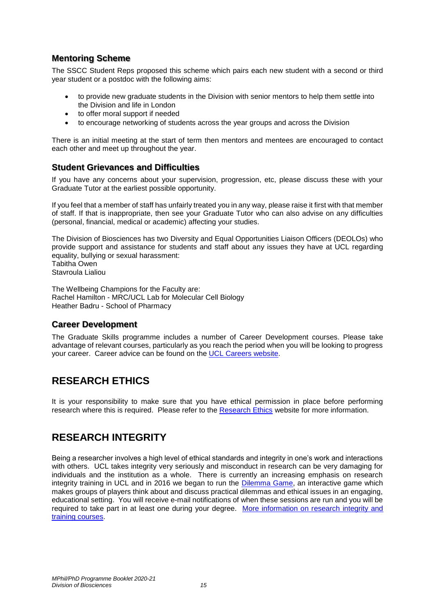### <span id="page-16-0"></span>**Mentoring Scheme**

The SSCC Student Reps proposed this scheme which pairs each new student with a second or third year student or a postdoc with the following aims:

- to provide new graduate students in the Division with senior mentors to help them settle into the Division and life in London
- to offer moral support if needed
- to encourage networking of students across the year groups and across the Division

There is an initial meeting at the start of term then mentors and mentees are encouraged to contact each other and meet up throughout the year.

### <span id="page-16-1"></span>**Student Grievances and Difficulties**

If you have any concerns about your supervision, progression, etc, please discuss these with your Graduate Tutor at the earliest possible opportunity.

If you feel that a member of staff has unfairly treated you in any way, please raise it first with that member of staff. If that is inappropriate, then see your Graduate Tutor who can also advise on any difficulties (personal, financial, medical or academic) affecting your studies.

The Division of Biosciences has two Diversity and Equal Opportunities Liaison Officers (DEOLOs) who provide support and assistance for students and staff about any issues they have at UCL regarding equality, bullying or sexual harassment: Tabitha Owen Stavroula Lialiou

The Wellbeing Champions for the Faculty are: Rachel Hamilton - MRC/UCL Lab for Molecular Cell Biology Heather Badru - School of Pharmacy

### <span id="page-16-2"></span>**Career Development**

The Graduate Skills programme includes a number of Career Development courses. Please take advantage of relevant courses, particularly as you reach the period when you will be looking to progress your career. Career advice can be found on the [UCL Careers website.](https://www.ucl.ac.uk/careers/)

# <span id="page-16-3"></span>**RESEARCH ETHICS**

It is your responsibility to make sure that you have ethical permission in place before performing research where this is required. Please refer to the [Research Ethics](https://ethics.grad.ucl.ac.uk/) website for more information.

# <span id="page-16-4"></span>**RESEARCH INTEGRITY**

Being a researcher involves a high level of ethical standards and integrity in one's work and interactions with others. UCL takes integrity very seriously and misconduct in research can be very damaging for individuals and the institution as a whole. There is currently an increasing emphasis on research integrity training in UCL and in 2016 we began to run the **Dilemma Game**, an interactive game which makes groups of players think about and discuss practical dilemmas and ethical issues in an engaging, educational setting. You will receive e-mail notifications of when these sessions are run and you will be required to take part in at least one during your degree. [More information on research integrity and](https://www.ucl.ac.uk/research/integrity/)  training [courses.](https://www.ucl.ac.uk/research/integrity/)